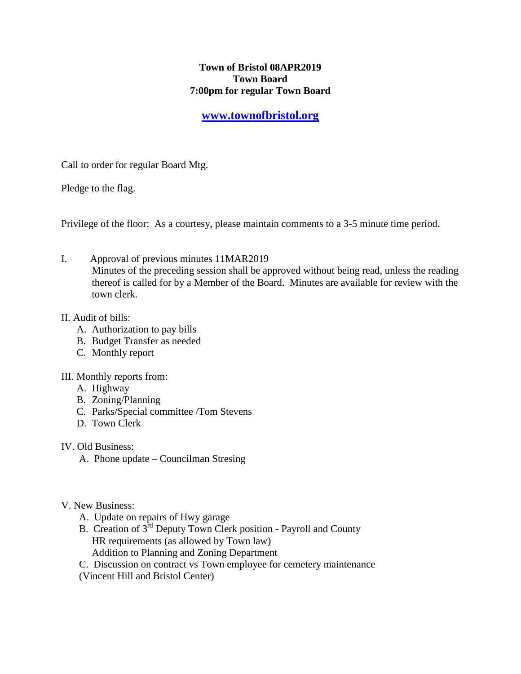## **Town of Bristol 08APR2019 Town Board 7:00pm for regular Town Board**

# **[www.townofbristol.org](http://www.townofbristol.org/)**

Call to order for regular Board Mtg.

Pledge to the flag.

Privilege of the floor: As a courtesy, please maintain comments to a 3-5 minute time period.

I. Approval of previous minutes 11MAR2019 Minutes of the preceding session shall be approved without being read, unless the reading thereof is called for by a Member of the Board. Minutes are available for review with the town clerk.

#### II. Audit of bills:

- A. Authorization to pay bills
- B. Budget Transfer as needed
- C. Monthly report

## III. Monthly reports from:

- A. Highway
- B. Zoning/Planning
- C. Parks/Special committee /Tom Stevens
- D. Town Clerk

IV. Old Business:

- A. Phone update Councilman Stresing
- V. New Business:
	- A. Update on repairs of Hwy garage
	- B. Creation of  $3^{\text{rd}}$  Deputy Town Clerk position Payroll and County HR requirements (as allowed by Town law) Addition to Planning and Zoning Department

C. Discussion on contract vs Town employee for cemetery maintenance

(Vincent Hill and Bristol Center)